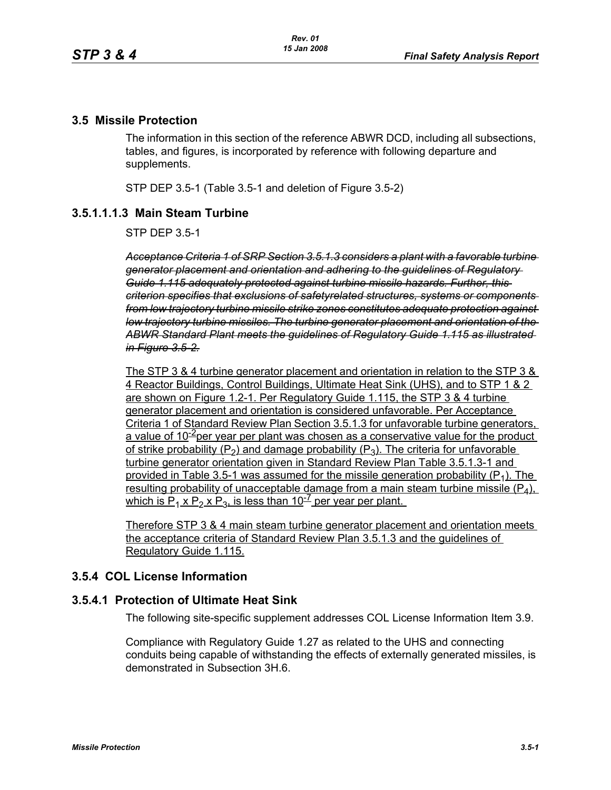### **3.5 Missile Protection**

The information in this section of the reference ABWR DCD, including all subsections, tables, and figures, is incorporated by reference with following departure and supplements.

STP DEP 3.5-1 (Table 3.5-1 and deletion of Figure 3.5-2)

## **3.5.1.1.1.3 Main Steam Turbine**

STP DEP 3.5-1

*Acceptance Criteria 1 of SRP Section 3.5.1.3 considers a plant with a favorable turbine generator placement and orientation and adhering to the guidelines of Regulatory Guide 1.115 adequately protected against turbine missile hazards. Further, this criterion specifies that exclusions of safetyrelated structures, systems or components from low trajectory turbine missile strike zones constitutes adequate protection against low trajectory turbine missiles. The turbine generator placement and orientation of the ABWR Standard Plant meets the guidelines of Regulatory Guide 1.115 as illustrated in Figure 3.5-2.*

The STP 3 & 4 turbine generator placement and orientation in relation to the STP 3 & 4 Reactor Buildings, Control Buildings, Ultimate Heat Sink (UHS), and to STP 1 & 2 are shown on Figure 1.2-1. Per Regulatory Guide 1.115, the STP 3 & 4 turbine generator placement and orientation is considered unfavorable. Per Acceptance Criteria 1 of Standard Review Plan Section 3.5.1.3 for unfavorable turbine generators, a value of  $10^{-2}$ per year per plant was chosen as a conservative value for the product of strike probability ( $P_2$ ) and damage probability ( $P_3$ ). The criteria for unfavorable turbine generator orientation given in Standard Review Plan Table 3.5.1.3-1 and provided in Table 3.5-1 was assumed for the missile generation probability  $(P_1)$ . The resulting probability of unacceptable damage from a main steam turbine missile  $(P_4)$ , which is  $P_1$  x  $P_2$  x  $P_3$ , is less than 10<sup>-7</sup> per year per plant.

Therefore STP 3 & 4 main steam turbine generator placement and orientation meets the acceptance criteria of Standard Review Plan 3.5.1.3 and the guidelines of Regulatory Guide 1.115.

## **3.5.4 COL License Information**

#### **3.5.4.1 Protection of Ultimate Heat Sink**

The following site-specific supplement addresses COL License Information Item 3.9.

Compliance with Regulatory Guide 1.27 as related to the UHS and connecting conduits being capable of withstanding the effects of externally generated missiles, is demonstrated in Subsection 3H.6.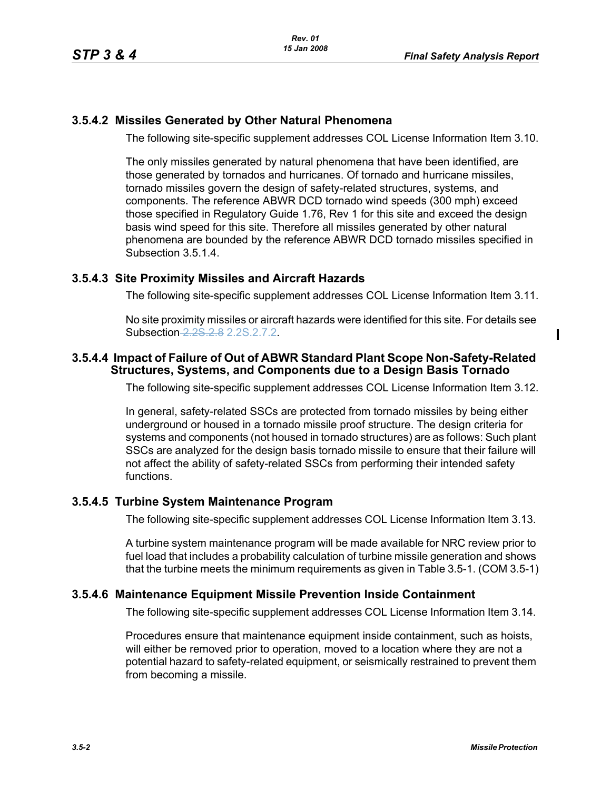# **3.5.4.2 Missiles Generated by Other Natural Phenomena**

The following site-specific supplement addresses COL License Information Item 3.10.

The only missiles generated by natural phenomena that have been identified, are those generated by tornados and hurricanes. Of tornado and hurricane missiles, tornado missiles govern the design of safety-related structures, systems, and components. The reference ABWR DCD tornado wind speeds (300 mph) exceed those specified in Regulatory Guide 1.76, Rev 1 for this site and exceed the design basis wind speed for this site. Therefore all missiles generated by other natural phenomena are bounded by the reference ABWR DCD tornado missiles specified in Subsection 3.5.1.4.

## **3.5.4.3 Site Proximity Missiles and Aircraft Hazards**

The following site-specific supplement addresses COL License Information Item 3.11.

No site proximity missiles or aircraft hazards were identified for this site. For details see Subsection 2.2S.2.8 2.2S.2.7.2.

#### **3.5.4.4 Impact of Failure of Out of ABWR Standard Plant Scope Non-Safety-Related Structures, Systems, and Components due to a Design Basis Tornado**

The following site-specific supplement addresses COL License Information Item 3.12.

In general, safety-related SSCs are protected from tornado missiles by being either underground or housed in a tornado missile proof structure. The design criteria for systems and components (not housed in tornado structures) are as follows: Such plant SSCs are analyzed for the design basis tornado missile to ensure that their failure will not affect the ability of safety-related SSCs from performing their intended safety functions.

# **3.5.4.5 Turbine System Maintenance Program**

The following site-specific supplement addresses COL License Information Item 3.13.

A turbine system maintenance program will be made available for NRC review prior to fuel load that includes a probability calculation of turbine missile generation and shows that the turbine meets the minimum requirements as given in Table 3.5-1. (COM 3.5-1)

#### **3.5.4.6 Maintenance Equipment Missile Prevention Inside Containment**

The following site-specific supplement addresses COL License Information Item 3.14.

Procedures ensure that maintenance equipment inside containment, such as hoists, will either be removed prior to operation, moved to a location where they are not a potential hazard to safety-related equipment, or seismically restrained to prevent them from becoming a missile.

 $\mathbf{I}$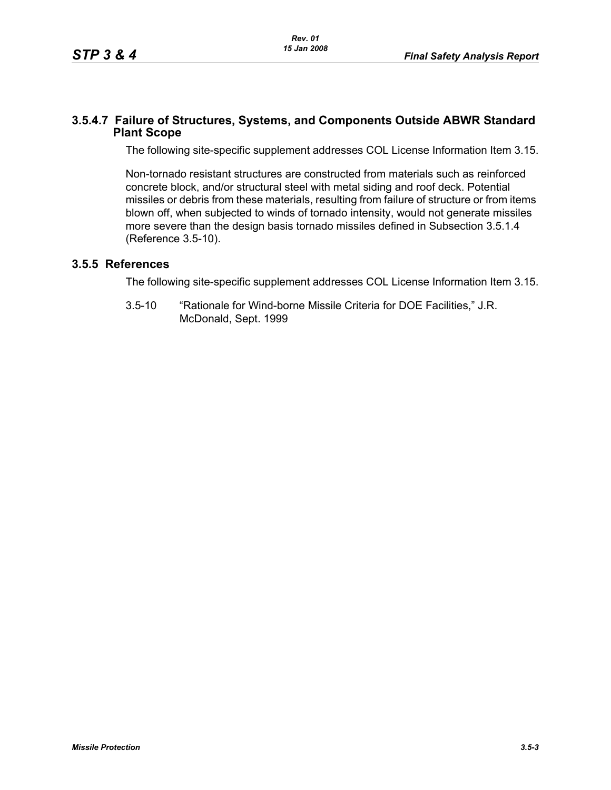#### **3.5.4.7 Failure of Structures, Systems, and Components Outside ABWR Standard Plant Scope**

The following site-specific supplement addresses COL License Information Item 3.15.

Non-tornado resistant structures are constructed from materials such as reinforced concrete block, and/or structural steel with metal siding and roof deck. Potential missiles or debris from these materials, resulting from failure of structure or from items blown off, when subjected to winds of tornado intensity, would not generate missiles more severe than the design basis tornado missiles defined in Subsection 3.5.1.4 (Reference 3.5-10).

## **3.5.5 References**

The following site-specific supplement addresses COL License Information Item 3.15.

3.5-10 "Rationale for Wind-borne Missile Criteria for DOE Facilities," J.R. McDonald, Sept. 1999